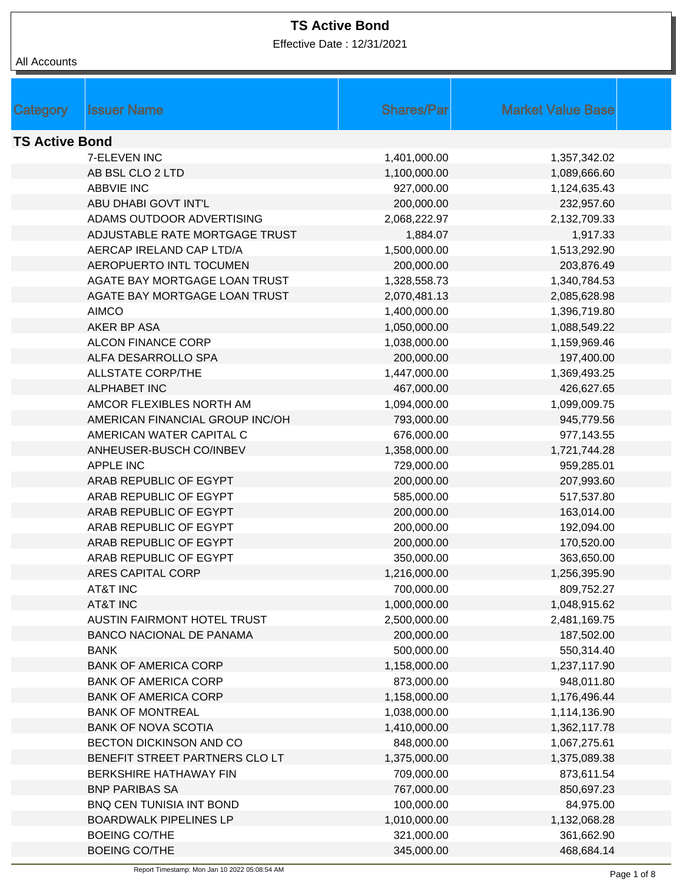Effective Date : 12/31/2021

| Category              | <b>Issuer Name</b>              | <b>Shares/Par</b> | <b>Market Value Base</b> |  |
|-----------------------|---------------------------------|-------------------|--------------------------|--|
| <b>TS Active Bond</b> |                                 |                   |                          |  |
|                       | 7-ELEVEN INC                    | 1,401,000.00      | 1,357,342.02             |  |
|                       | AB BSL CLO 2 LTD                | 1,100,000.00      | 1,089,666.60             |  |
|                       | <b>ABBVIE INC</b>               | 927,000.00        | 1,124,635.43             |  |
|                       | ABU DHABI GOVT INT'L            | 200,000.00        | 232,957.60               |  |
|                       | ADAMS OUTDOOR ADVERTISING       | 2,068,222.97      | 2,132,709.33             |  |
|                       | ADJUSTABLE RATE MORTGAGE TRUST  | 1,884.07          | 1,917.33                 |  |
|                       | AERCAP IRELAND CAP LTD/A        | 1,500,000.00      | 1,513,292.90             |  |
|                       | AEROPUERTO INTL TOCUMEN         | 200,000.00        | 203,876.49               |  |
|                       | AGATE BAY MORTGAGE LOAN TRUST   | 1,328,558.73      | 1,340,784.53             |  |
|                       | AGATE BAY MORTGAGE LOAN TRUST   | 2,070,481.13      | 2,085,628.98             |  |
|                       | <b>AIMCO</b>                    | 1,400,000.00      | 1,396,719.80             |  |
|                       | AKER BP ASA                     | 1,050,000.00      | 1,088,549.22             |  |
|                       | <b>ALCON FINANCE CORP</b>       | 1,038,000.00      | 1,159,969.46             |  |
|                       | ALFA DESARROLLO SPA             | 200,000.00        | 197,400.00               |  |
|                       | <b>ALLSTATE CORP/THE</b>        | 1,447,000.00      | 1,369,493.25             |  |
|                       | <b>ALPHABET INC</b>             | 467,000.00        | 426,627.65               |  |
|                       | AMCOR FLEXIBLES NORTH AM        | 1,094,000.00      | 1,099,009.75             |  |
|                       | AMERICAN FINANCIAL GROUP INC/OH | 793,000.00        | 945,779.56               |  |
|                       | AMERICAN WATER CAPITAL C        | 676,000.00        | 977,143.55               |  |
|                       | ANHEUSER-BUSCH CO/INBEV         | 1,358,000.00      | 1,721,744.28             |  |
|                       | <b>APPLE INC</b>                | 729,000.00        | 959,285.01               |  |
|                       | ARAB REPUBLIC OF EGYPT          | 200,000.00        | 207,993.60               |  |
|                       | ARAB REPUBLIC OF EGYPT          | 585,000.00        | 517,537.80               |  |
|                       | ARAB REPUBLIC OF EGYPT          | 200,000.00        | 163,014.00               |  |
|                       | ARAB REPUBLIC OF EGYPT          | 200,000.00        | 192,094.00               |  |
|                       | ARAB REPUBLIC OF EGYPT          | 200,000.00        | 170,520.00               |  |
|                       | ARAB REPUBLIC OF EGYPT          | 350,000.00        | 363,650.00               |  |
|                       | ARES CAPITAL CORP               | 1,216,000.00      | 1,256,395.90             |  |
|                       | <b>AT&amp;T INC</b>             | 700,000.00        | 809,752.27               |  |
|                       | <b>AT&amp;T INC</b>             | 1,000,000.00      | 1,048,915.62             |  |
|                       | AUSTIN FAIRMONT HOTEL TRUST     | 2,500,000.00      | 2,481,169.75             |  |
|                       | <b>BANCO NACIONAL DE PANAMA</b> | 200,000.00        | 187,502.00               |  |
|                       | <b>BANK</b>                     | 500,000.00        | 550,314.40               |  |
|                       | <b>BANK OF AMERICA CORP</b>     | 1,158,000.00      | 1,237,117.90             |  |
|                       | <b>BANK OF AMERICA CORP</b>     | 873,000.00        | 948,011.80               |  |
|                       | <b>BANK OF AMERICA CORP</b>     | 1,158,000.00      | 1,176,496.44             |  |
|                       | <b>BANK OF MONTREAL</b>         | 1,038,000.00      | 1,114,136.90             |  |
|                       | <b>BANK OF NOVA SCOTIA</b>      | 1,410,000.00      | 1,362,117.78             |  |
|                       | BECTON DICKINSON AND CO         | 848,000.00        | 1,067,275.61             |  |
|                       | BENEFIT STREET PARTNERS CLO LT  | 1,375,000.00      | 1,375,089.38             |  |
|                       | BERKSHIRE HATHAWAY FIN          | 709,000.00        | 873,611.54               |  |
|                       | <b>BNP PARIBAS SA</b>           | 767,000.00        | 850,697.23               |  |
|                       | BNQ CEN TUNISIA INT BOND        | 100,000.00        | 84,975.00                |  |
|                       | <b>BOARDWALK PIPELINES LP</b>   | 1,010,000.00      | 1,132,068.28             |  |
|                       | <b>BOEING CO/THE</b>            | 321,000.00        | 361,662.90               |  |
|                       | <b>BOEING CO/THE</b>            | 345,000.00        | 468,684.14               |  |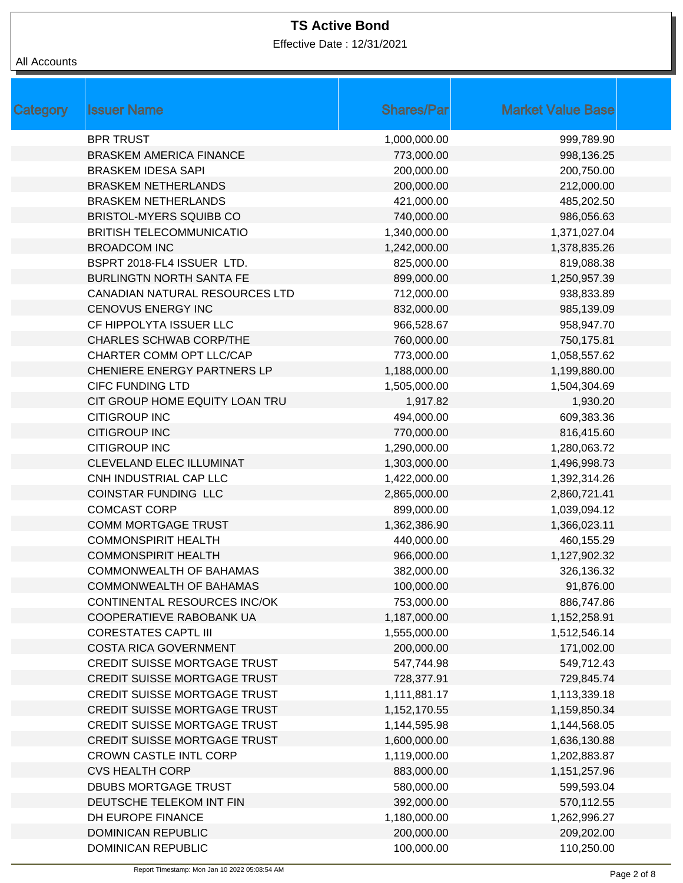Effective Date : 12/31/2021

| All Accounts |
|--------------|
|              |

| <b>Category</b> | <b>Issuer Name</b>                  | <b>Shares/Par</b> | <b>Market Value Base</b> |
|-----------------|-------------------------------------|-------------------|--------------------------|
|                 | <b>BPR TRUST</b>                    | 1,000,000.00      | 999,789.90               |
|                 | <b>BRASKEM AMERICA FINANCE</b>      | 773,000.00        | 998,136.25               |
|                 | <b>BRASKEM IDESA SAPI</b>           | 200,000.00        | 200,750.00               |
|                 | <b>BRASKEM NETHERLANDS</b>          | 200,000.00        | 212,000.00               |
|                 | <b>BRASKEM NETHERLANDS</b>          | 421,000.00        | 485,202.50               |
|                 | <b>BRISTOL-MYERS SQUIBB CO</b>      | 740,000.00        | 986,056.63               |
|                 | <b>BRITISH TELECOMMUNICATIO</b>     | 1,340,000.00      | 1,371,027.04             |
|                 | <b>BROADCOM INC</b>                 | 1,242,000.00      | 1,378,835.26             |
|                 | BSPRT 2018-FL4 ISSUER LTD.          | 825,000.00        | 819,088.38               |
|                 | <b>BURLINGTN NORTH SANTA FE</b>     | 899,000.00        | 1,250,957.39             |
|                 | CANADIAN NATURAL RESOURCES LTD      | 712,000.00        | 938,833.89               |
|                 | <b>CENOVUS ENERGY INC</b>           | 832,000.00        | 985,139.09               |
|                 | CF HIPPOLYTA ISSUER LLC             | 966,528.67        | 958,947.70               |
|                 | <b>CHARLES SCHWAB CORP/THE</b>      | 760,000.00        | 750,175.81               |
|                 | CHARTER COMM OPT LLC/CAP            | 773,000.00        | 1,058,557.62             |
|                 | <b>CHENIERE ENERGY PARTNERS LP</b>  | 1,188,000.00      | 1,199,880.00             |
|                 | <b>CIFC FUNDING LTD</b>             | 1,505,000.00      | 1,504,304.69             |
|                 | CIT GROUP HOME EQUITY LOAN TRU      | 1,917.82          | 1,930.20                 |
|                 | <b>CITIGROUP INC</b>                | 494,000.00        | 609,383.36               |
|                 | <b>CITIGROUP INC</b>                | 770,000.00        | 816,415.60               |
|                 | <b>CITIGROUP INC</b>                | 1,290,000.00      | 1,280,063.72             |
|                 | CLEVELAND ELEC ILLUMINAT            | 1,303,000.00      | 1,496,998.73             |
|                 | CNH INDUSTRIAL CAP LLC              | 1,422,000.00      | 1,392,314.26             |
|                 | <b>COINSTAR FUNDING LLC</b>         | 2,865,000.00      | 2,860,721.41             |
|                 | <b>COMCAST CORP</b>                 | 899,000.00        | 1,039,094.12             |
|                 | <b>COMM MORTGAGE TRUST</b>          | 1,362,386.90      | 1,366,023.11             |
|                 | <b>COMMONSPIRIT HEALTH</b>          | 440,000.00        | 460,155.29               |
|                 | <b>COMMONSPIRIT HEALTH</b>          | 966,000.00        | 1,127,902.32             |
|                 | COMMONWEALTH OF BAHAMAS             | 382,000.00        | 326,136.32               |
|                 | <b>COMMONWEALTH OF BAHAMAS</b>      | 100,000.00        | 91,876.00                |
|                 | CONTINENTAL RESOURCES INC/OK        | 753,000.00        | 886,747.86               |
|                 | COOPERATIEVE RABOBANK UA            | 1,187,000.00      | 1,152,258.91             |
|                 | <b>CORESTATES CAPTL III</b>         | 1,555,000.00      | 1,512,546.14             |
|                 | <b>COSTA RICA GOVERNMENT</b>        | 200,000.00        | 171,002.00               |
|                 | CREDIT SUISSE MORTGAGE TRUST        | 547,744.98        | 549,712.43               |
|                 | <b>CREDIT SUISSE MORTGAGE TRUST</b> | 728,377.91        | 729,845.74               |
|                 | CREDIT SUISSE MORTGAGE TRUST        | 1,111,881.17      | 1,113,339.18             |
|                 | <b>CREDIT SUISSE MORTGAGE TRUST</b> | 1,152,170.55      | 1,159,850.34             |
|                 | <b>CREDIT SUISSE MORTGAGE TRUST</b> | 1,144,595.98      | 1,144,568.05             |
|                 | CREDIT SUISSE MORTGAGE TRUST        | 1,600,000.00      | 1,636,130.88             |
|                 | <b>CROWN CASTLE INTL CORP</b>       | 1,119,000.00      | 1,202,883.87             |
|                 | <b>CVS HEALTH CORP</b>              | 883,000.00        | 1,151,257.96             |
|                 | <b>DBUBS MORTGAGE TRUST</b>         | 580,000.00        | 599,593.04               |
|                 | DEUTSCHE TELEKOM INT FIN            | 392,000.00        | 570,112.55               |
|                 | DH EUROPE FINANCE                   | 1,180,000.00      | 1,262,996.27             |
|                 | <b>DOMINICAN REPUBLIC</b>           | 200,000.00        | 209,202.00               |
|                 | <b>DOMINICAN REPUBLIC</b>           | 100,000.00        | 110,250.00               |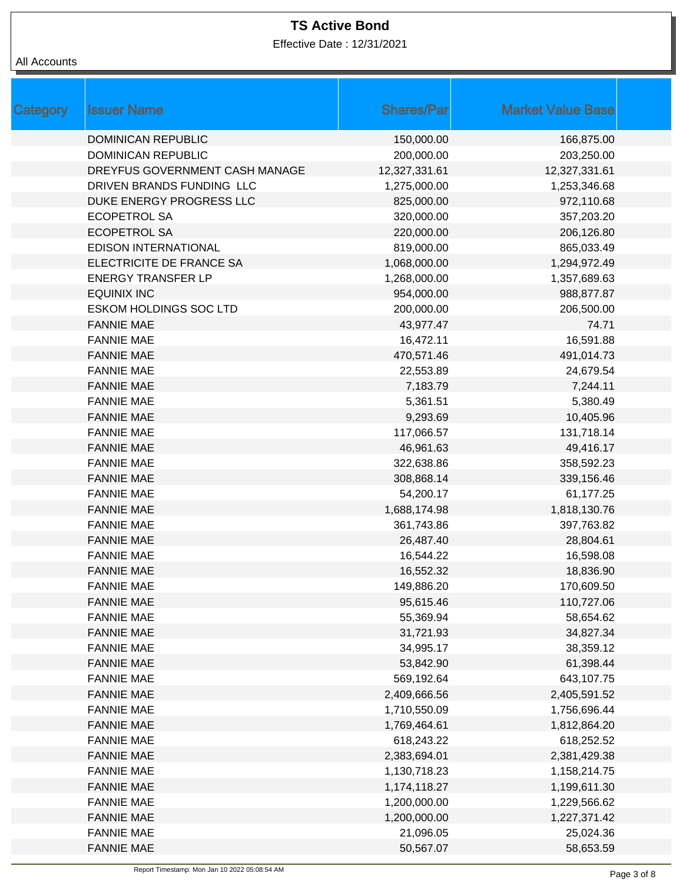Effective Date : 12/31/2021

| All Accounts |  |
|--------------|--|
|--------------|--|

| Category | <b>Issuer Name</b>             | <b>Shares/Par</b> | <b>Market Value Base</b> |  |
|----------|--------------------------------|-------------------|--------------------------|--|
|          | <b>DOMINICAN REPUBLIC</b>      | 150,000.00        | 166,875.00               |  |
|          | <b>DOMINICAN REPUBLIC</b>      | 200,000.00        | 203,250.00               |  |
|          | DREYFUS GOVERNMENT CASH MANAGE | 12,327,331.61     | 12,327,331.61            |  |
|          | DRIVEN BRANDS FUNDING LLC      | 1,275,000.00      | 1,253,346.68             |  |
|          | DUKE ENERGY PROGRESS LLC       | 825,000.00        | 972,110.68               |  |
|          | <b>ECOPETROL SA</b>            | 320,000.00        | 357,203.20               |  |
|          | <b>ECOPETROL SA</b>            | 220,000.00        | 206,126.80               |  |
|          | <b>EDISON INTERNATIONAL</b>    | 819,000.00        | 865,033.49               |  |
|          | ELECTRICITE DE FRANCE SA       | 1,068,000.00      | 1,294,972.49             |  |
|          | <b>ENERGY TRANSFER LP</b>      | 1,268,000.00      | 1,357,689.63             |  |
|          | <b>EQUINIX INC</b>             | 954,000.00        | 988,877.87               |  |
|          | <b>ESKOM HOLDINGS SOC LTD</b>  | 200,000.00        | 206,500.00               |  |
|          | <b>FANNIE MAE</b>              | 43,977.47         | 74.71                    |  |
|          | <b>FANNIE MAE</b>              | 16,472.11         | 16,591.88                |  |
|          | <b>FANNIE MAE</b>              | 470,571.46        | 491,014.73               |  |
|          | <b>FANNIE MAE</b>              | 22,553.89         | 24,679.54                |  |
|          | <b>FANNIE MAE</b>              | 7,183.79          | 7,244.11                 |  |
|          | <b>FANNIE MAE</b>              | 5,361.51          | 5,380.49                 |  |
|          | <b>FANNIE MAE</b>              | 9,293.69          | 10,405.96                |  |
|          | <b>FANNIE MAE</b>              | 117,066.57        | 131,718.14               |  |
|          | <b>FANNIE MAE</b>              | 46,961.63         | 49,416.17                |  |
|          | <b>FANNIE MAE</b>              | 322,638.86        | 358,592.23               |  |
|          | <b>FANNIE MAE</b>              | 308,868.14        | 339,156.46               |  |
|          | <b>FANNIE MAE</b>              | 54,200.17         | 61,177.25                |  |
|          | <b>FANNIE MAE</b>              | 1,688,174.98      | 1,818,130.76             |  |
|          | <b>FANNIE MAE</b>              | 361,743.86        | 397,763.82               |  |
|          | <b>FANNIE MAE</b>              | 26,487.40         | 28,804.61                |  |
|          | <b>FANNIE MAE</b>              | 16,544.22         | 16,598.08                |  |
|          | <b>FANNIE MAE</b>              | 16,552.32         | 18,836.90                |  |
|          | <b>FANNIE MAE</b>              | 149,886.20        | 170,609.50               |  |
|          | <b>FANNIE MAE</b>              | 95,615.46         | 110,727.06               |  |
|          | <b>FANNIE MAE</b>              | 55,369.94         | 58,654.62                |  |
|          | <b>FANNIE MAE</b>              | 31,721.93         | 34,827.34                |  |
|          | <b>FANNIE MAE</b>              | 34,995.17         | 38,359.12                |  |
|          | <b>FANNIE MAE</b>              | 53,842.90         | 61,398.44                |  |
|          | <b>FANNIE MAE</b>              | 569,192.64        | 643,107.75               |  |
|          | <b>FANNIE MAE</b>              | 2,409,666.56      | 2,405,591.52             |  |
|          | <b>FANNIE MAE</b>              | 1,710,550.09      | 1,756,696.44             |  |
|          | <b>FANNIE MAE</b>              | 1,769,464.61      | 1,812,864.20             |  |
|          | <b>FANNIE MAE</b>              | 618,243.22        | 618,252.52               |  |
|          | <b>FANNIE MAE</b>              | 2,383,694.01      | 2,381,429.38             |  |
|          | <b>FANNIE MAE</b>              | 1,130,718.23      | 1,158,214.75             |  |
|          | <b>FANNIE MAE</b>              | 1,174,118.27      | 1,199,611.30             |  |
|          | <b>FANNIE MAE</b>              | 1,200,000.00      | 1,229,566.62             |  |
|          | <b>FANNIE MAE</b>              | 1,200,000.00      | 1,227,371.42             |  |
|          | <b>FANNIE MAE</b>              | 21,096.05         | 25,024.36                |  |
|          | <b>FANNIE MAE</b>              | 50,567.07         | 58,653.59                |  |
|          |                                |                   |                          |  |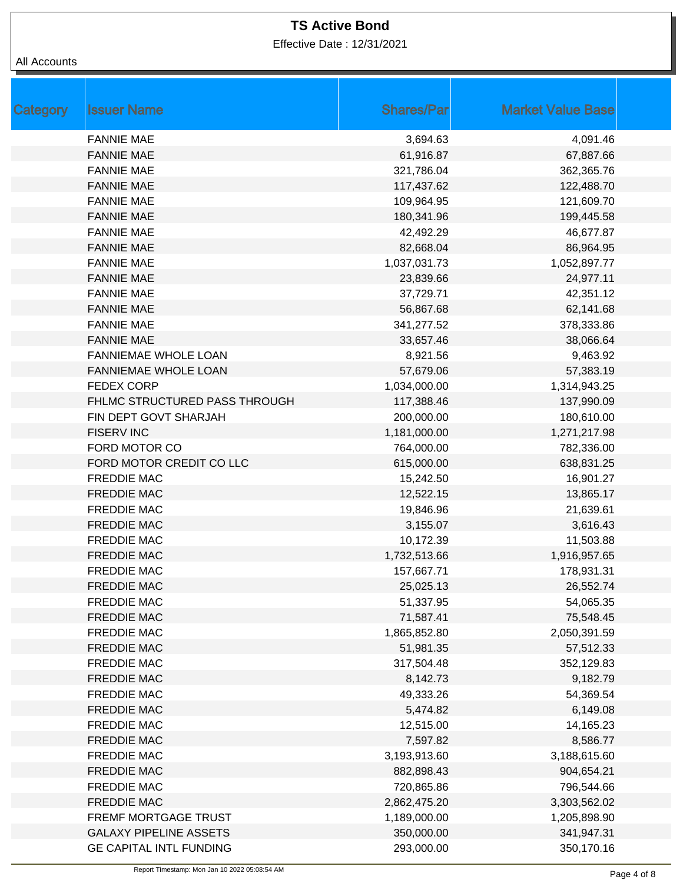Effective Date : 12/31/2021

| Category | <b>Issuer Name</b>             | <b>Shares/Par</b> | <b>Market Value Base</b> |  |
|----------|--------------------------------|-------------------|--------------------------|--|
|          | <b>FANNIE MAE</b>              | 3,694.63          | 4,091.46                 |  |
|          | <b>FANNIE MAE</b>              | 61,916.87         | 67,887.66                |  |
|          | <b>FANNIE MAE</b>              | 321,786.04        | 362,365.76               |  |
|          | <b>FANNIE MAE</b>              | 117,437.62        | 122,488.70               |  |
|          | <b>FANNIE MAE</b>              | 109,964.95        | 121,609.70               |  |
|          | <b>FANNIE MAE</b>              | 180,341.96        | 199,445.58               |  |
|          | <b>FANNIE MAE</b>              | 42,492.29         | 46,677.87                |  |
|          | <b>FANNIE MAE</b>              | 82,668.04         | 86,964.95                |  |
|          | <b>FANNIE MAE</b>              | 1,037,031.73      | 1,052,897.77             |  |
|          | <b>FANNIE MAE</b>              | 23,839.66         | 24,977.11                |  |
|          | <b>FANNIE MAE</b>              | 37,729.71         | 42,351.12                |  |
|          | <b>FANNIE MAE</b>              | 56,867.68         | 62,141.68                |  |
|          | <b>FANNIE MAE</b>              | 341,277.52        | 378,333.86               |  |
|          | <b>FANNIE MAE</b>              | 33,657.46         | 38,066.64                |  |
|          | FANNIEMAE WHOLE LOAN           | 8,921.56          | 9,463.92                 |  |
|          | <b>FANNIEMAE WHOLE LOAN</b>    | 57,679.06         | 57,383.19                |  |
|          | <b>FEDEX CORP</b>              | 1,034,000.00      | 1,314,943.25             |  |
|          | FHLMC STRUCTURED PASS THROUGH  | 117,388.46        | 137,990.09               |  |
|          | FIN DEPT GOVT SHARJAH          | 200,000.00        | 180,610.00               |  |
|          | <b>FISERV INC</b>              | 1,181,000.00      | 1,271,217.98             |  |
|          | FORD MOTOR CO                  | 764,000.00        | 782,336.00               |  |
|          | FORD MOTOR CREDIT CO LLC       | 615,000.00        | 638,831.25               |  |
|          | <b>FREDDIE MAC</b>             | 15,242.50         | 16,901.27                |  |
|          | <b>FREDDIE MAC</b>             | 12,522.15         | 13,865.17                |  |
|          | <b>FREDDIE MAC</b>             | 19,846.96         | 21,639.61                |  |
|          | <b>FREDDIE MAC</b>             | 3,155.07          | 3,616.43                 |  |
|          | <b>FREDDIE MAC</b>             | 10,172.39         | 11,503.88                |  |
|          | <b>FREDDIE MAC</b>             | 1,732,513.66      | 1,916,957.65             |  |
|          | <b>FREDDIE MAC</b>             | 157,667.71        | 178,931.31               |  |
|          | <b>FREDDIE MAC</b>             | 25,025.13         | 26,552.74                |  |
|          | <b>FREDDIE MAC</b>             | 51,337.95         | 54,065.35                |  |
|          | <b>FREDDIE MAC</b>             | 71,587.41         | 75,548.45                |  |
|          | <b>FREDDIE MAC</b>             | 1,865,852.80      | 2,050,391.59             |  |
|          | <b>FREDDIE MAC</b>             | 51,981.35         | 57,512.33                |  |
|          | <b>FREDDIE MAC</b>             | 317,504.48        | 352,129.83               |  |
|          | FREDDIE MAC                    | 8,142.73          | 9,182.79                 |  |
|          | <b>FREDDIE MAC</b>             | 49,333.26         | 54,369.54                |  |
|          | <b>FREDDIE MAC</b>             | 5,474.82          | 6,149.08                 |  |
|          | <b>FREDDIE MAC</b>             | 12,515.00         | 14,165.23                |  |
|          | <b>FREDDIE MAC</b>             | 7,597.82          | 8,586.77                 |  |
|          | <b>FREDDIE MAC</b>             | 3,193,913.60      | 3,188,615.60             |  |
|          | <b>FREDDIE MAC</b>             | 882,898.43        | 904,654.21               |  |
|          | <b>FREDDIE MAC</b>             | 720,865.86        | 796,544.66               |  |
|          | <b>FREDDIE MAC</b>             | 2,862,475.20      | 3,303,562.02             |  |
|          | <b>FREMF MORTGAGE TRUST</b>    | 1,189,000.00      | 1,205,898.90             |  |
|          | <b>GALAXY PIPELINE ASSETS</b>  | 350,000.00        | 341,947.31               |  |
|          | <b>GE CAPITAL INTL FUNDING</b> | 293,000.00        | 350,170.16               |  |
|          |                                |                   |                          |  |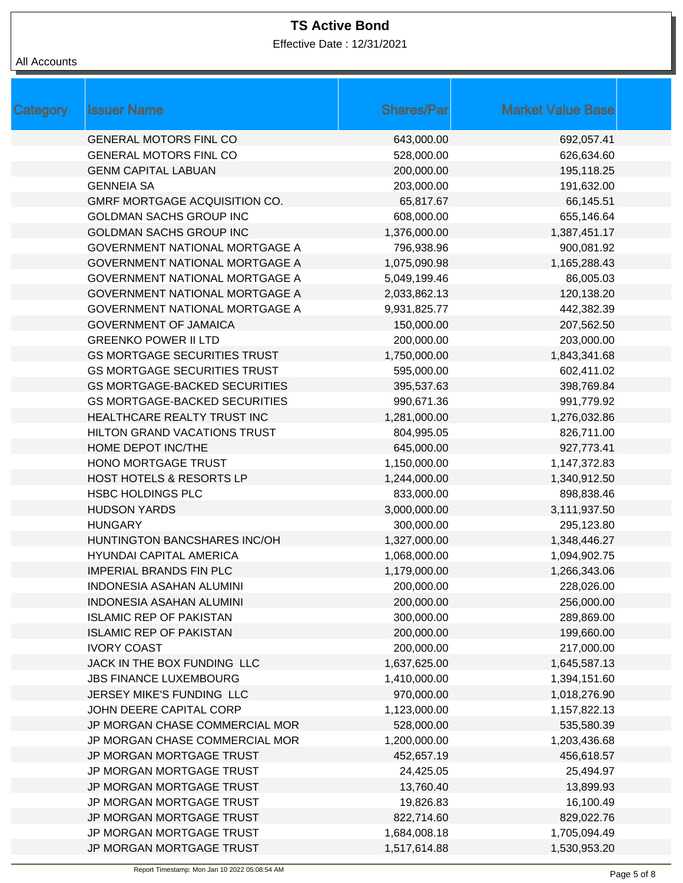Effective Date : 12/31/2021

| <b>Category</b> | <b>Issuer Name</b>                    | <b>Shares/Par</b> | <b>Market Value Base</b> |
|-----------------|---------------------------------------|-------------------|--------------------------|
|                 | <b>GENERAL MOTORS FINL CO</b>         | 643,000.00        | 692,057.41               |
|                 | <b>GENERAL MOTORS FINL CO</b>         | 528,000.00        | 626,634.60               |
|                 | <b>GENM CAPITAL LABUAN</b>            | 200,000.00        | 195,118.25               |
|                 | <b>GENNEIA SA</b>                     | 203,000.00        | 191,632.00               |
|                 | GMRF MORTGAGE ACQUISITION CO.         | 65,817.67         | 66,145.51                |
|                 | <b>GOLDMAN SACHS GROUP INC</b>        | 608,000.00        | 655,146.64               |
|                 | <b>GOLDMAN SACHS GROUP INC</b>        | 1,376,000.00      | 1,387,451.17             |
|                 | <b>GOVERNMENT NATIONAL MORTGAGE A</b> | 796,938.96        | 900,081.92               |
|                 | <b>GOVERNMENT NATIONAL MORTGAGE A</b> | 1,075,090.98      | 1,165,288.43             |
|                 | <b>GOVERNMENT NATIONAL MORTGAGE A</b> | 5,049,199.46      | 86,005.03                |
|                 | <b>GOVERNMENT NATIONAL MORTGAGE A</b> | 2,033,862.13      | 120,138.20               |
|                 | <b>GOVERNMENT NATIONAL MORTGAGE A</b> | 9,931,825.77      | 442,382.39               |
|                 | <b>GOVERNMENT OF JAMAICA</b>          | 150,000.00        | 207,562.50               |
|                 | <b>GREENKO POWER II LTD</b>           | 200,000.00        | 203,000.00               |
|                 | <b>GS MORTGAGE SECURITIES TRUST</b>   | 1,750,000.00      | 1,843,341.68             |
|                 | <b>GS MORTGAGE SECURITIES TRUST</b>   | 595,000.00        | 602,411.02               |
|                 | <b>GS MORTGAGE-BACKED SECURITIES</b>  | 395,537.63        | 398,769.84               |
|                 | <b>GS MORTGAGE-BACKED SECURITIES</b>  | 990,671.36        | 991,779.92               |
|                 | HEALTHCARE REALTY TRUST INC           | 1,281,000.00      | 1,276,032.86             |
|                 | HILTON GRAND VACATIONS TRUST          | 804,995.05        | 826,711.00               |
|                 | HOME DEPOT INC/THE                    | 645,000.00        | 927,773.41               |
|                 | HONO MORTGAGE TRUST                   | 1,150,000.00      | 1,147,372.83             |
|                 | <b>HOST HOTELS &amp; RESORTS LP</b>   | 1,244,000.00      | 1,340,912.50             |
|                 | <b>HSBC HOLDINGS PLC</b>              | 833,000.00        | 898,838.46               |
|                 | <b>HUDSON YARDS</b>                   | 3,000,000.00      | 3,111,937.50             |
|                 | <b>HUNGARY</b>                        | 300,000.00        | 295,123.80               |
|                 | HUNTINGTON BANCSHARES INC/OH          | 1,327,000.00      | 1,348,446.27             |
|                 | <b>HYUNDAI CAPITAL AMERICA</b>        | 1,068,000.00      | 1,094,902.75             |
|                 | <b>IMPERIAL BRANDS FIN PLC</b>        | 1,179,000.00      | 1,266,343.06             |
|                 | <b>INDONESIA ASAHAN ALUMINI</b>       | 200,000.00        | 228,026.00               |
|                 | <b>INDONESIA ASAHAN ALUMINI</b>       | 200,000.00        | 256,000.00               |
|                 | <b>ISLAMIC REP OF PAKISTAN</b>        | 300,000.00        | 289,869.00               |
|                 | <b>ISLAMIC REP OF PAKISTAN</b>        | 200,000.00        | 199,660.00               |
|                 | <b>IVORY COAST</b>                    | 200,000.00        | 217,000.00               |
|                 | JACK IN THE BOX FUNDING LLC           | 1,637,625.00      | 1,645,587.13             |
|                 | <b>JBS FINANCE LUXEMBOURG</b>         | 1,410,000.00      | 1,394,151.60             |
|                 | JERSEY MIKE'S FUNDING LLC             | 970,000.00        | 1,018,276.90             |
|                 | JOHN DEERE CAPITAL CORP               | 1,123,000.00      | 1,157,822.13             |
|                 | JP MORGAN CHASE COMMERCIAL MOR        | 528,000.00        | 535,580.39               |
|                 | JP MORGAN CHASE COMMERCIAL MOR        | 1,200,000.00      | 1,203,436.68             |
|                 | JP MORGAN MORTGAGE TRUST              | 452,657.19        | 456,618.57               |
|                 | JP MORGAN MORTGAGE TRUST              | 24,425.05         | 25,494.97                |
|                 | JP MORGAN MORTGAGE TRUST              | 13,760.40         | 13,899.93                |
|                 | JP MORGAN MORTGAGE TRUST              | 19,826.83         | 16,100.49                |
|                 | JP MORGAN MORTGAGE TRUST              | 822,714.60        | 829,022.76               |
|                 | JP MORGAN MORTGAGE TRUST              | 1,684,008.18      | 1,705,094.49             |
|                 | JP MORGAN MORTGAGE TRUST              | 1,517,614.88      | 1,530,953.20             |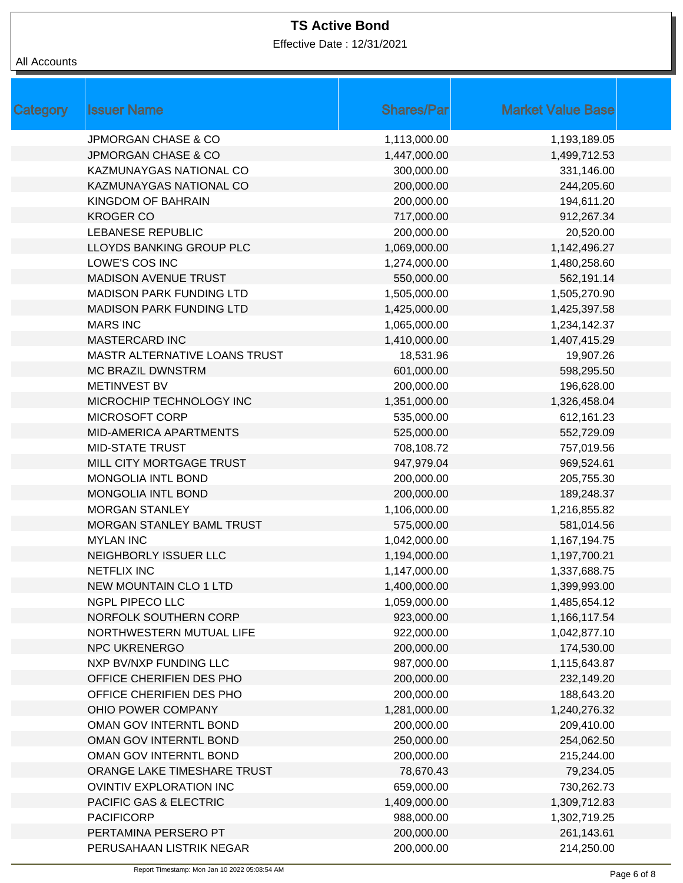Effective Date : 12/31/2021

| Category | <b>Issuer Name</b>              | <b>Shares/Par</b> | <b>Market Value Base</b> |
|----------|---------------------------------|-------------------|--------------------------|
|          | <b>JPMORGAN CHASE &amp; CO</b>  | 1,113,000.00      | 1,193,189.05             |
|          | <b>JPMORGAN CHASE &amp; CO</b>  | 1,447,000.00      | 1,499,712.53             |
|          | KAZMUNAYGAS NATIONAL CO         | 300,000.00        | 331,146.00               |
|          | KAZMUNAYGAS NATIONAL CO         | 200,000.00        | 244,205.60               |
|          | KINGDOM OF BAHRAIN              | 200,000.00        | 194,611.20               |
|          | <b>KROGER CO</b>                | 717,000.00        | 912,267.34               |
|          | <b>LEBANESE REPUBLIC</b>        | 200,000.00        | 20,520.00                |
|          | LLOYDS BANKING GROUP PLC        | 1,069,000.00      | 1,142,496.27             |
|          | LOWE'S COS INC                  | 1,274,000.00      | 1,480,258.60             |
|          | MADISON AVENUE TRUST            | 550,000.00        | 562,191.14               |
|          | <b>MADISON PARK FUNDING LTD</b> | 1,505,000.00      | 1,505,270.90             |
|          | <b>MADISON PARK FUNDING LTD</b> | 1,425,000.00      | 1,425,397.58             |
|          | <b>MARS INC</b>                 | 1,065,000.00      | 1,234,142.37             |
|          | <b>MASTERCARD INC</b>           | 1,410,000.00      | 1,407,415.29             |
|          | MASTR ALTERNATIVE LOANS TRUST   | 18,531.96         | 19,907.26                |
|          | <b>MC BRAZIL DWNSTRM</b>        | 601,000.00        | 598,295.50               |
|          | <b>METINVEST BV</b>             | 200,000.00        | 196,628.00               |
|          | MICROCHIP TECHNOLOGY INC        | 1,351,000.00      | 1,326,458.04             |
|          | MICROSOFT CORP                  | 535,000.00        | 612,161.23               |
|          | MID-AMERICA APARTMENTS          | 525,000.00        | 552,729.09               |
|          | <b>MID-STATE TRUST</b>          | 708,108.72        | 757,019.56               |
|          | MILL CITY MORTGAGE TRUST        | 947,979.04        | 969,524.61               |
|          | <b>MONGOLIA INTL BOND</b>       | 200,000.00        | 205,755.30               |
|          | <b>MONGOLIA INTL BOND</b>       | 200,000.00        | 189,248.37               |
|          | <b>MORGAN STANLEY</b>           | 1,106,000.00      | 1,216,855.82             |
|          | MORGAN STANLEY BAML TRUST       | 575,000.00        | 581,014.56               |
|          | <b>MYLAN INC</b>                | 1,042,000.00      | 1,167,194.75             |
|          | NEIGHBORLY ISSUER LLC           | 1,194,000.00      | 1,197,700.21             |
|          | <b>NETFLIX INC</b>              | 1,147,000.00      | 1,337,688.75             |
|          | NEW MOUNTAIN CLO 1 LTD          | 1,400,000.00      | 1,399,993.00             |
|          | NGPL PIPECO LLC                 | 1,059,000.00      | 1,485,654.12             |
|          | NORFOLK SOUTHERN CORP           | 923,000.00        | 1,166,117.54             |
|          | NORTHWESTERN MUTUAL LIFE        | 922,000.00        | 1,042,877.10             |
|          | <b>NPC UKRENERGO</b>            | 200,000.00        | 174,530.00               |
|          | NXP BV/NXP FUNDING LLC          | 987,000.00        | 1,115,643.87             |
|          | OFFICE CHERIFIEN DES PHO        | 200,000.00        | 232,149.20               |
|          | OFFICE CHERIFIEN DES PHO        | 200,000.00        | 188,643.20               |
|          | OHIO POWER COMPANY              | 1,281,000.00      | 1,240,276.32             |
|          | OMAN GOV INTERNTL BOND          | 200,000.00        | 209,410.00               |
|          | OMAN GOV INTERNTL BOND          | 250,000.00        | 254,062.50               |
|          | OMAN GOV INTERNTL BOND          | 200,000.00        | 215,244.00               |
|          | ORANGE LAKE TIMESHARE TRUST     | 78,670.43         | 79,234.05                |
|          | OVINTIV EXPLORATION INC         | 659,000.00        | 730,262.73               |
|          | PACIFIC GAS & ELECTRIC          | 1,409,000.00      | 1,309,712.83             |
|          | <b>PACIFICORP</b>               | 988,000.00        | 1,302,719.25             |
|          | PERTAMINA PERSERO PT            | 200,000.00        | 261,143.61               |
|          | PERUSAHAAN LISTRIK NEGAR        | 200,000.00        | 214,250.00               |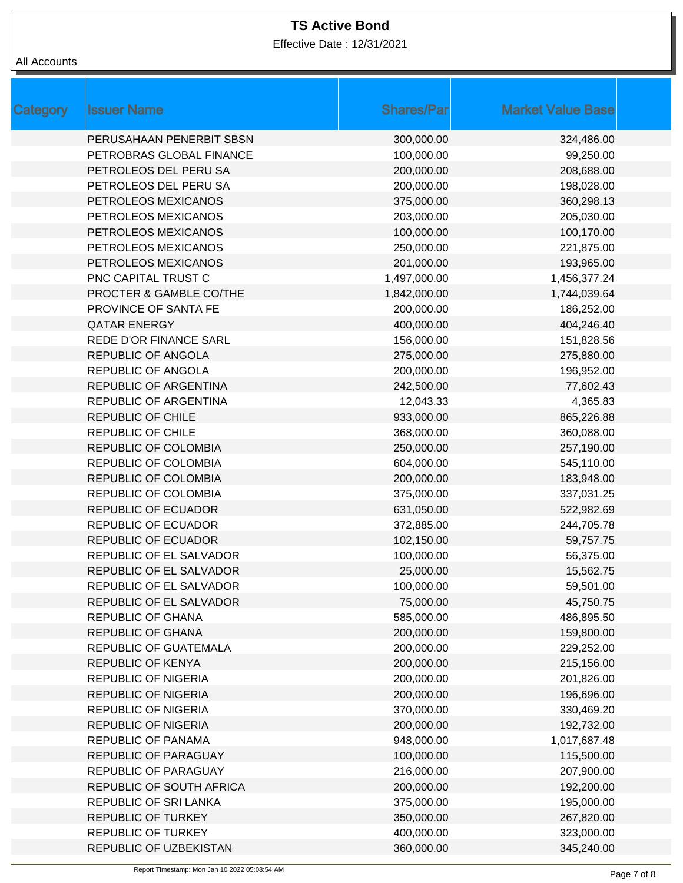Effective Date : 12/31/2021

| Category | <b>Issuer Name</b>            | <b>Shares/Par</b> | <b>Market Value Base</b> |  |
|----------|-------------------------------|-------------------|--------------------------|--|
|          | PERUSAHAAN PENERBIT SBSN      | 300,000.00        | 324,486.00               |  |
|          | PETROBRAS GLOBAL FINANCE      | 100,000.00        | 99,250.00                |  |
|          | PETROLEOS DEL PERU SA         | 200,000.00        | 208,688.00               |  |
|          | PETROLEOS DEL PERU SA         | 200,000.00        | 198,028.00               |  |
|          | PETROLEOS MEXICANOS           | 375,000.00        | 360,298.13               |  |
|          | PETROLEOS MEXICANOS           | 203,000.00        | 205,030.00               |  |
|          | PETROLEOS MEXICANOS           | 100,000.00        | 100,170.00               |  |
|          | PETROLEOS MEXICANOS           | 250,000.00        | 221,875.00               |  |
|          | PETROLEOS MEXICANOS           | 201,000.00        | 193,965.00               |  |
|          | PNC CAPITAL TRUST C           | 1,497,000.00      | 1,456,377.24             |  |
|          | PROCTER & GAMBLE CO/THE       | 1,842,000.00      | 1,744,039.64             |  |
|          | <b>PROVINCE OF SANTA FE</b>   | 200,000.00        | 186,252.00               |  |
|          | <b>QATAR ENERGY</b>           | 400,000.00        | 404,246.40               |  |
|          | <b>REDE D'OR FINANCE SARL</b> | 156,000.00        | 151,828.56               |  |
|          | <b>REPUBLIC OF ANGOLA</b>     | 275,000.00        | 275,880.00               |  |
|          | REPUBLIC OF ANGOLA            | 200,000.00        | 196,952.00               |  |
|          | REPUBLIC OF ARGENTINA         | 242,500.00        | 77,602.43                |  |
|          | REPUBLIC OF ARGENTINA         | 12,043.33         | 4,365.83                 |  |
|          | <b>REPUBLIC OF CHILE</b>      | 933,000.00        | 865,226.88               |  |
|          | <b>REPUBLIC OF CHILE</b>      | 368,000.00        | 360,088.00               |  |
|          | REPUBLIC OF COLOMBIA          | 250,000.00        | 257,190.00               |  |
|          | REPUBLIC OF COLOMBIA          | 604,000.00        | 545,110.00               |  |
|          | REPUBLIC OF COLOMBIA          | 200,000.00        | 183,948.00               |  |
|          | REPUBLIC OF COLOMBIA          | 375,000.00        | 337,031.25               |  |
|          | <b>REPUBLIC OF ECUADOR</b>    | 631,050.00        | 522,982.69               |  |
|          | <b>REPUBLIC OF ECUADOR</b>    | 372,885.00        | 244,705.78               |  |
|          | <b>REPUBLIC OF ECUADOR</b>    | 102,150.00        | 59,757.75                |  |
|          | REPUBLIC OF EL SALVADOR       | 100,000.00        | 56,375.00                |  |
|          | REPUBLIC OF EL SALVADOR       | 25,000.00         | 15,562.75                |  |
|          | REPUBLIC OF EL SALVADOR       | 100,000.00        | 59,501.00                |  |
|          | REPUBLIC OF EL SALVADOR       | 75,000.00         | 45,750.75                |  |
|          | <b>REPUBLIC OF GHANA</b>      | 585,000.00        | 486,895.50               |  |
|          | <b>REPUBLIC OF GHANA</b>      | 200,000.00        | 159,800.00               |  |
|          | <b>REPUBLIC OF GUATEMALA</b>  | 200,000.00        | 229,252.00               |  |
|          | REPUBLIC OF KENYA             | 200,000.00        | 215,156.00               |  |
|          | <b>REPUBLIC OF NIGERIA</b>    | 200,000.00        | 201,826.00               |  |
|          | <b>REPUBLIC OF NIGERIA</b>    | 200,000.00        | 196,696.00               |  |
|          | <b>REPUBLIC OF NIGERIA</b>    | 370,000.00        | 330,469.20               |  |
|          | <b>REPUBLIC OF NIGERIA</b>    | 200,000.00        | 192,732.00               |  |
|          | REPUBLIC OF PANAMA            | 948,000.00        | 1,017,687.48             |  |
|          | REPUBLIC OF PARAGUAY          | 100,000.00        | 115,500.00               |  |
|          | REPUBLIC OF PARAGUAY          | 216,000.00        | 207,900.00               |  |
|          | REPUBLIC OF SOUTH AFRICA      | 200,000.00        | 192,200.00               |  |
|          | REPUBLIC OF SRI LANKA         | 375,000.00        | 195,000.00               |  |
|          | <b>REPUBLIC OF TURKEY</b>     | 350,000.00        | 267,820.00               |  |
|          | <b>REPUBLIC OF TURKEY</b>     | 400,000.00        | 323,000.00               |  |
|          | REPUBLIC OF UZBEKISTAN        | 360,000.00        | 345,240.00               |  |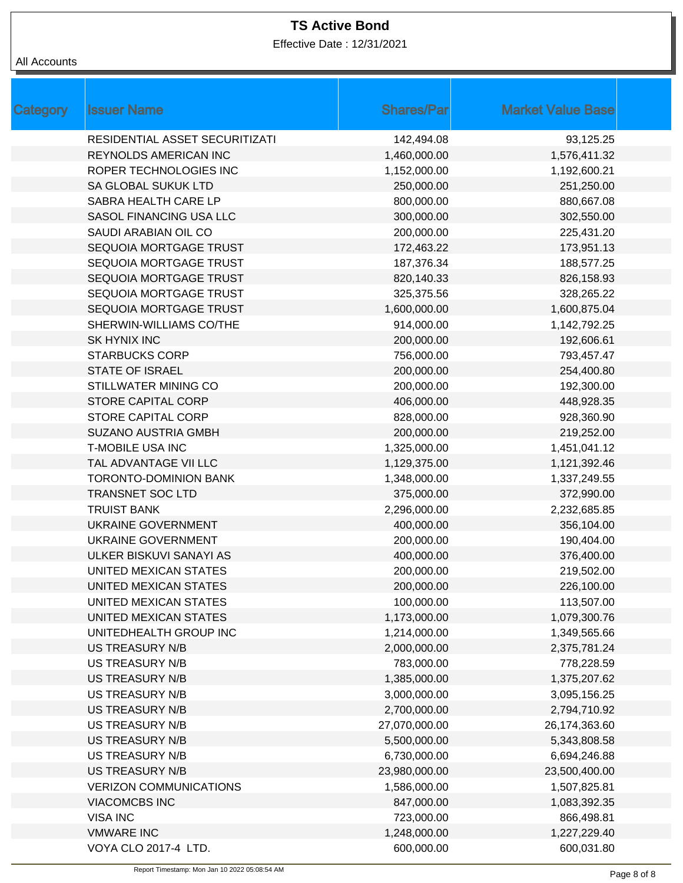Effective Date : 12/31/2021

| <b>Issuer Name</b><br>Category | <b>Shares/Par</b> | <b>Market Value Base</b> |
|--------------------------------|-------------------|--------------------------|
| RESIDENTIAL ASSET SECURITIZATI | 142,494.08        | 93,125.25                |
| <b>REYNOLDS AMERICAN INC</b>   | 1,460,000.00      | 1,576,411.32             |
| ROPER TECHNOLOGIES INC         | 1,152,000.00      | 1,192,600.21             |
| SA GLOBAL SUKUK LTD            | 250,000.00        | 251,250.00               |
| SABRA HEALTH CARE LP           | 800,000.00        | 880,667.08               |
| SASOL FINANCING USA LLC        | 300,000.00        | 302,550.00               |
| SAUDI ARABIAN OIL CO           | 200,000.00        | 225,431.20               |
| SEQUOIA MORTGAGE TRUST         | 172,463.22        | 173,951.13               |
| SEQUOIA MORTGAGE TRUST         | 187,376.34        | 188,577.25               |
| SEQUOIA MORTGAGE TRUST         | 820,140.33        | 826,158.93               |
| SEQUOIA MORTGAGE TRUST         | 325,375.56        | 328,265.22               |
| SEQUOIA MORTGAGE TRUST         | 1,600,000.00      | 1,600,875.04             |
| SHERWIN-WILLIAMS CO/THE        | 914,000.00        | 1,142,792.25             |
| <b>SK HYNIX INC</b>            | 200,000.00        | 192,606.61               |
| <b>STARBUCKS CORP</b>          | 756,000.00        | 793,457.47               |
| <b>STATE OF ISRAEL</b>         | 200,000.00        | 254,400.80               |
| STILLWATER MINING CO           | 200,000.00        | 192,300.00               |
| <b>STORE CAPITAL CORP</b>      | 406,000.00        | 448,928.35               |
| <b>STORE CAPITAL CORP</b>      | 828,000.00        | 928,360.90               |
| <b>SUZANO AUSTRIA GMBH</b>     | 200,000.00        | 219,252.00               |
| <b>T-MOBILE USA INC</b>        | 1,325,000.00      | 1,451,041.12             |
| TAL ADVANTAGE VII LLC          | 1,129,375.00      | 1,121,392.46             |
| <b>TORONTO-DOMINION BANK</b>   | 1,348,000.00      | 1,337,249.55             |
| <b>TRANSNET SOC LTD</b>        | 375,000.00        | 372,990.00               |
| <b>TRUIST BANK</b>             | 2,296,000.00      | 2,232,685.85             |
| <b>UKRAINE GOVERNMENT</b>      | 400,000.00        | 356,104.00               |
| <b>UKRAINE GOVERNMENT</b>      | 200,000.00        | 190,404.00               |
| ULKER BISKUVI SANAYI AS        | 400,000.00        | 376,400.00               |
| UNITED MEXICAN STATES          | 200,000.00        | 219,502.00               |
| UNITED MEXICAN STATES          | 200,000.00        | 226,100.00               |
| UNITED MEXICAN STATES          | 100,000.00        | 113,507.00               |
| UNITED MEXICAN STATES          | 1,173,000.00      | 1,079,300.76             |
| UNITEDHEALTH GROUP INC         | 1,214,000.00      | 1,349,565.66             |
| <b>US TREASURY N/B</b>         | 2,000,000.00      | 2,375,781.24             |
| <b>US TREASURY N/B</b>         | 783,000.00        | 778,228.59               |
| <b>US TREASURY N/B</b>         | 1,385,000.00      | 1,375,207.62             |
| <b>US TREASURY N/B</b>         | 3,000,000.00      | 3,095,156.25             |
| <b>US TREASURY N/B</b>         | 2,700,000.00      | 2,794,710.92             |
| <b>US TREASURY N/B</b>         | 27,070,000.00     | 26,174,363.60            |
| <b>US TREASURY N/B</b>         | 5,500,000.00      | 5,343,808.58             |
| <b>US TREASURY N/B</b>         | 6,730,000.00      | 6,694,246.88             |
| <b>US TREASURY N/B</b>         | 23,980,000.00     | 23,500,400.00            |
| <b>VERIZON COMMUNICATIONS</b>  | 1,586,000.00      | 1,507,825.81             |
| <b>VIACOMCBS INC</b>           | 847,000.00        | 1,083,392.35             |
| <b>VISA INC</b>                | 723,000.00        | 866,498.81               |
| <b>VMWARE INC</b>              | 1,248,000.00      | 1,227,229.40             |
| VOYA CLO 2017-4 LTD.           | 600,000.00        | 600,031.80               |